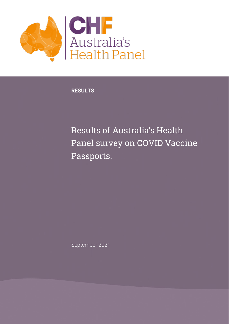

**RESULTS**

Results of Australia's Health Panel survey on COVID Vaccine Passports.

September 2021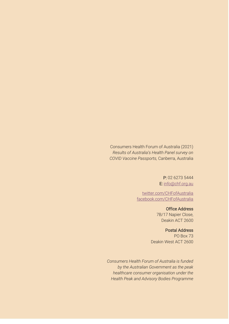Consumers Health Forum of Australia (2021) *Results of Australia's Health Panel survey on COVID Vaccine Passports,* Canberra, Australia

> P: 02 6273 5444 E: [info@chf.org.au](mailto:info@chf.org.au)

[twitter.com/CHFofAustralia](http://twitter.com/CHFofAustralia)  [facebook.com/CHFofAustralia](http://facebook.com/CHFofAustralia)

> Office Address 7B/17 Napier Close, Deakin ACT 2600

> > Postal Address

PO Box 73 Deakin West ACT 2600

*Consumers Health Forum of Australia is funded by the Australian Government as the peak healthcare consumer organisation under the Health Peak and Advisory Bodies Programme*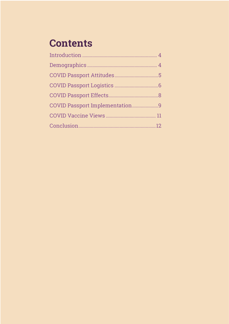# **Contents**

| COVID Passport Implementation9 |  |
|--------------------------------|--|
|                                |  |
|                                |  |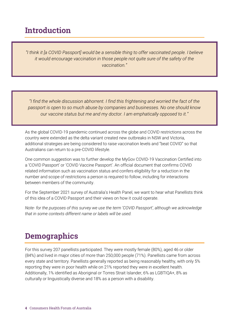#### <span id="page-3-0"></span>Introduction

*"I think it [a COVID Passport] would be a sensible thing to offer vaccinated people. I believe it would encourage vaccination in those people not quite sure of the safety of the vaccination."*

*"I find the whole discussion abhorrent. I find this frightening and worried the fact of the passport is open to so much abuse by companies and businesses. No one should know our vaccine status but me and my doctor. I am emphatically opposed to it."*

As the global COVID-19 pandemic continued across the globe and COVID restrictions across the country were extended as the delta variant created new outbreaks in NSW and Victoria, additional strategies are being considered to raise vaccination levels and "beat COVID" so that Australians can return to a pre-COVID lifestyle.

One common suggestion was to further develop the MyGov COVID-19 Vaccination Certified into a 'COVID Passport' or 'COVID Vaccine Passport'. An official document that confirms COVID related information such as vaccination status and confers eligibility for a reduction in the number and scope of restrictions a person is required to follow, including for interactions between members of the community.

For the September 2021 survey of Australia's Health Panel, we want to hear what Panellists think of this idea of a COVID Passport and their views on how it could operate.

*Note- for the purposes of this survey we use the term 'COVID Passport', although we acknowledge that in some contexts different name or labels will be used.*

#### <span id="page-3-1"></span>**Demographics**

For this survey 207 panellists participated. They were mostly female (80%), aged 46 or older (84%) and lived in major cities of more than 250,000 people (71%). Panellists came from across every state and territory. Panellists generally reported as being reasonably healthy, with only 5% reporting they were in poor health while on 21% reported they were in excellent health. Additionally, 1% identified as Aboriginal or Torres Strait Islander, 6% as LGBTIQA+, 8% as culturally or linguistically diverse and 18% as a person with a disability.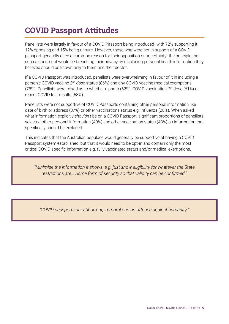### <span id="page-4-0"></span>COVID Passport Attitudes

Panellists were largely in favour of a COVID Passport being introduced- with 72% supporting it, 12% opposing and 15% being unsure. However, those who were not in support of a COVID passport generally cited a common reason for their opposition or uncertainty- the principle that such a document would be breaching their privacy by disclosing personal health information they believed should be known only to them and their doctor.

If a COVID Passport was introduced, panellists were overwhelming in favour of it in including a person's COVID vaccine 2<sup>nd</sup> dose status (86%) and any COVID vaccine medical exemptions (78%). Panellists were mixed as to whether a photo (62%), COVID vaccination *1 st* dose (61%) or recent COVID test results (53%).

Panellists were not supportive of COVID Passports containing other personal information like date of birth or address (37%) or other vaccinations status e.g. influenza (28%). When asked what information explicitly *shouldn't* be on a COVID Passport, significant proportions of panellists selected other personal information (40%) and other vaccination status (48%) as information that specifically should be excluded.

This indicates that the Australian populace would generally be supportive of having a COVID Passport system established, but that it would need to be opt-in and contain only the most critical COVID specific information e.g. fully vaccinated status and/or medical exemptions.

*"Minimise the information it shows, e.g. just show eligibility for whatever the State restrictions are… Some form of security so that validity can be confirmed."*

*"COVID passports are abhorrent, immoral and an offence against humanity."*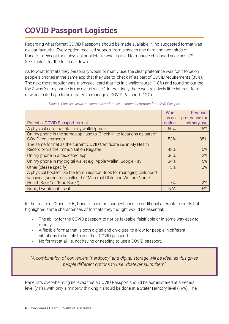# <span id="page-5-0"></span>COVID Passport Logistics

Regarding what format COVID Passports should be made available in, no suggested format was a clear favourite. Every option received support from between one third and two thirds of Panellists, except for a physical booklet like what is used to manage childhood vaccines (7%). See Table 2 for the full breakdown.

As to what formats they personally would primarily use, the clear preference was for it to be on people's phones in the same app that they use to 'check in' as part of COVID requirements (35%). The next most popular was 'a physical card that fits in a wallet/purse' (18%) and rounding out the top 3 was 'on my phone in my digital wallet'. Interestingly there was relatively little interest for a new dedicated app to be created to manage a COVID Passport (12%).

|                                                                         | <b>Want</b> | Personal       |
|-------------------------------------------------------------------------|-------------|----------------|
|                                                                         | as an       | preference for |
| <b>Potential COVID Passport format</b>                                  | option      | primary use    |
| A physical card that fits in my wallet/purse                            | 60%         | 18%            |
| On my phone in the same app I use to 'Check In' to locations as part of |             |                |
| <b>COVID</b> requirements                                               | 53%         | 35%            |
| The same format as the current COVID Certificate i.e. in My Health      |             |                |
| Record or via the Immunisation Register                                 | 43%         | 10%            |
| On my phone in a dedicated app                                          | 36%         | 12%            |
| On my phone in my digital wallet e.g. Apple Wallet, Google Pay          | 34%         | 15%            |
| Other (please specify)                                                  | 13%         | 2%             |
| A physical booklet like the Immunisation Book for managing childhood    |             |                |
| vaccines (sometimes called the "Maternal Child and Welfare Nurse        |             |                |
| Health Book" or "Blue Book")                                            | 7%          | 2%             |
| None, I would not use it                                                | N/A         | 6%             |

*Table 1- Panellist views and personal preference on potential formats for COVID Passport*

In the free text 'Other' fields, Panellists did not suggest specific additional alternate formats but highlighted some characterises of formats they thought would be essential:

- The ability for the COVID passport to not be fakeable, falsifiable or in some way easy to modify.
- A flexible format that is both digital and on-digital to allow for people in different situations to be able to use their COVID passport.
- No format at all i.e. not having or needing to use a COVID passport.

*"A combination of convenient "hardcopy" and digital storage will be ideal as this gives people different options to use whatever suits them"*

Panellists overwhelming believed that a COVID Passport should be administered at a Federal level (71%), with only a minority thinking it should be done at a State/Territory level (19%). The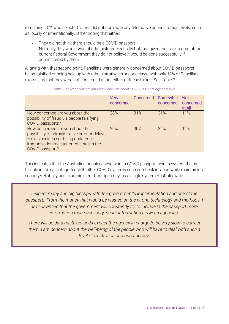remaining 10% who selected 'Other' did not nominate any alternative administration levels, such as locally or internationally, rather noting that either:

- They did not think there should be a COVID passport
- Normally they would want it administered Federally but that given the track record of the current Federal Government they do not believe it would be done successfully if administered by them.

Aligning with that second point, Panellists were generally concerned about COVID passports being falsified or being held up with administrative errors or delays- with only 11% of Panellists expressing that they were not concerned about either of these things. See Table 2.

|                                               | Very      |     | Concerned   Somewhat   Not |           |
|-----------------------------------------------|-----------|-----|----------------------------|-----------|
|                                               | concerned |     | concerned                  | concerned |
|                                               |           |     |                            | at all    |
| How concerned are you about the               | 28%       | 31% | 31%                        | 11%       |
| possibility of fraud via people falsifying    |           |     |                            |           |
| COVID passports?                              |           |     |                            |           |
| How concerned are you about the               | 26%       | 30% | 32%                        | 11%       |
| possibility of administrative error or delays |           |     |                            |           |
| - e.g. vaccines not being updated in          |           |     |                            |           |
| immunisation register or reflected in the     |           |     |                            |           |
| COVID passport?                               |           |     |                            |           |

*Table 2- Level of concern amongst Panellists about COVID Passport logistic issues*

This indicates that the Australian populace who want a COVID passport want a system that is flexible in format, integrated with other COVID systems such as 'check in' apps while maintaining security/reliability and is administered, competently, as a single system Australia wide.

*I expect many and big hiccups with the government's implementation and use of the*  passport. From the money that would be wasted on the wrong technology and methods. I am convinced that the government will constantly try to include in the passport more *information than necessary, share information between agencies.*

*There will be data mistakes and I expect the agency in charge to be very slow to correct them. I am concern about the well-being of the people who will have to deal with such a level of frustration and bureaucracy.*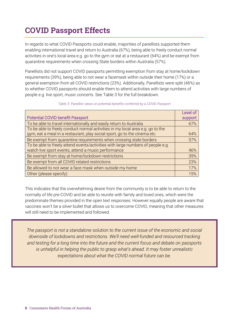## <span id="page-7-0"></span>COVID Passport Effects

In regards to what COVID Passports could enable, majorities of panellists supported them enabling international travel and return to Australia (67%), being able to freely conduct normal activities in one's local area e.g. go to the gym or eat at a restaurant (64%) and be exempt from quarantine requirements when crossing State borders within Australia (57%).

Panellists did not support COVID passports permitting exemption from stay at home/lockdown requirements (39%), being able to not wear a facemask within outside their home (17%) or a general exemption from all COVID restrictions (23%). Additionally, Panellists were split (46%) as to whether COVID passports should enable them to attend activities with large numbers of people e.g. live sport, music concerts. See Table 3 for the full breakdown.

*Table 3- Panellist views on potential benefits conferred by a COVID Passport*

|                                                                                 | Level of |
|---------------------------------------------------------------------------------|----------|
| <b>Potential COVID benefit Passport</b>                                         | support  |
| To be able to travel internationally and easily return to Australia             | 67%      |
| To be able to freely conduct normal activities in my local area e.g. go to the  |          |
| gym, eat a meal in a restaurant, play social sport, go to the cinema etc        | 64%      |
| Be exempt from quarantine requirements when crossing state borders              | 57%      |
| To be able to freely attend events/activities with large numbers of people e.g. |          |
| watch live sport events, attend a music performance                             | 46%      |
| Be exempt from stay at home/lockdown restrictions                               | 39%      |
| Be exempt from all COVID related restrictions                                   | 23%      |
| Be allowed to not wear a face mask when outside my home                         | 17%      |
| Other (please specify)                                                          | 15%      |

This indicates that the overwhelming desire from the community is to be able to return to the normally of life pre-COVID and be able to reunite with family and loved ones, which were the predominate themes provided in the open text responses. However equally people are aware that vaccines won't be a silver bullet that allows us to overcome COVID, meaning that other measures will still need to be implemented and followed.

*The passport is not a standalone solution to the current issue of the economic and social downside of lockdowns and restrictions. We'll need well-funded and resourced tracking and testing for a long time into the future and the current focus and debate on passports is unhelpful in helping the public to grasp what's ahead. It may foster unrealistic expectations about what the COVID normal future can be.*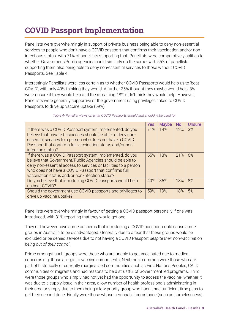### <span id="page-8-0"></span>COVID Passport Implementation

Panellists were overwhelmingly in support of private business being able to deny non-essential services to people who don't have a COVID passport that confirms their vaccination and/or noninfectious status- with 71% of panellists supporting that. Panellists were comparatively split as to whether Government/Public agencies could similarly do the same- with 55% of panellists supporting them also being able to deny non-essential services to those without COVID Passports. See Table 4.

Interestingly Panellists were less certain as to whether COVID Passports would help us to 'beat COVID', with only 40% thinking they would. A further 35% thought they maybe would help, 8% were unsure if they would help and the remaining 18% didn't think they would help. However, Panellists were generally supportive of the government using privileges linked to COVID Passports to drive up vaccine uptake (59%).

|                                                                                                                                                                                                                                                                                                      | Yes | <b>Maybe</b> | No. | Unsure |
|------------------------------------------------------------------------------------------------------------------------------------------------------------------------------------------------------------------------------------------------------------------------------------------------------|-----|--------------|-----|--------|
| If there was a COVID Passport system implemented, do you<br>believe that private businesses should be able to deny non-<br>essential services to a person who does not have a COVID<br>Passport that confirms full vaccination status and/or non-<br>infection status?                               | 71% | 14%          | 12% | 3%     |
| If there was a COVID Passport system implemented, do you<br>believe that Government/Public Agencies should be able to<br>deny non-essential access to services or facilities to a person<br>who does not have a COVID Passport that confirms full<br>vaccination status and/or non-infection status? | 55% | 18%          | 21% | 6%     |
| Do you believe that introducing COVID passports would help<br>us beat COVID?                                                                                                                                                                                                                         | 40% | 35%          | 18% | 8%     |
| Should the government use COVID passports and privileges to<br>drive up vaccine uptake?                                                                                                                                                                                                              | 59% | 19%          | 18% | 5%     |

#### *Table 4- Panellist views on what COVID Passports should and shouldn't be used for*

Panellists were overwhelmingly in favour of getting a COVID passport personally if one was introduced, with 81% reporting that they would get one.

They did however have some concerns that introducing a COVID passport could cause some groups in Australia to be disadvantaged. Generally due to a fear that these groups would be excluded or be denied services due to not having a COVID Passport *despite their non-vaccination being out of their control*.

Prime amongst such groups were those who are unable to get vaccinated due to medical concerns e.g. those allergic to vaccine components. Next most common were those who are part of historically or currently marginalised communities such as First Nations Peoples, CALD communities or migrants and had reasons to be distrustful of Government led programs. Third were those groups who simply had not yet had the opportunity to access the vaccine- whether it was due to a supply issue in their area, a low number of health professionals administering in their area or simply due to them being a low priority group who hadn't had sufficient time pass to get their second dose. Finally were those whose personal circumstance (such as homelessness)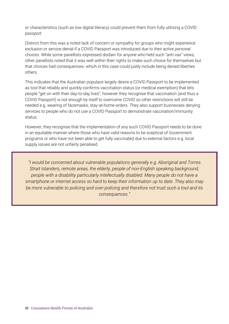or characteristics (such as low digital literacy) could prevent them from fully utilising a COVID passport.

Distinct from this was a noted lack of concern or sympathy for groups who might experience exclusion or service denial if a COVID Passport was introduced *due to their active personal choices*. While some panellists expressed disdain for anyone who held such "anti-vax" views, other panellists noted that it was well within their rights to make such choice for themselves but that choices had consequences- which in this case could justly include being denied liberties others.

This indicates that the Australian populace largely desire a COVID Passport to be implemented as tool that reliably and quickly confirms vaccination status (or medical exemption) that lets people "get on with their day-to-day lives", however they recognise that vaccination (and thus a COVID Passport) is not enough by itself to overcome COVID so other restrictions will still be needed e.g. wearing of facemasks, stay-at-home-orders. They also support businesses denying services to people who do not use a COVID Passport to demonstrate vaccination/immunity status.

However, they recognise that the implementation of any such COVID Passport needs to be done in an equitable manner where those who have valid reasons to be sceptical of Government programs or who have not been able to get fully vaccinated due to external factors e.g. local supply issues are not unfairly penalised.

*"I would be concerned about vulnerable populations generally e.g. Aboriginal and Torres Strait Islanders, remote areas, the elderly, people of non-English speaking background, people with a disability particularly intellectually disabled. Many people do not have a smartphone or internet access so hard to keep their information up to date. They also may be more vulnerable to policing and over-policing and therefore not trust such a tool and its consequences."*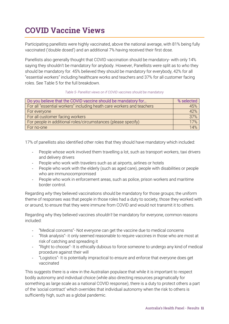### <span id="page-10-0"></span>COVID Vaccine Views

Participating panellists were highly vaccinated, above the national average, with 81% being fully vaccinated ('double dosed') and an additional 7% having received their first dose.

Panellists also generally thought that COVID vaccination should be mandatory- with only 14% saying they shouldn't be mandatory for anybody. However, Panellists were split as to *who* they should be mandatory for. 45% believed they should be mandatory for everybody, 42% for all "essential workers" including healthcare works and teachers and 37% for all customer facing roles. See Table 5 for the full breakdown.

#### *Table 5- Panellist views on if COVID vaccines should be mandatory*

| Do you believe that the COVID vaccine should be mandatory for         | % selected |
|-----------------------------------------------------------------------|------------|
| For all "essential workers" including heath care workers and teachers | 45%        |
| For everyone                                                          | 42%        |
| For all customer facing workers                                       | 37%        |
| For people in additional roles/circumstances (please specify)         | 17%        |
| For no-one                                                            | 14%        |

17% of panellists also identified other roles that they should have mandatory which included:

- People whose work involved them travelling a lot, such as transport workers, taxi drivers and delivery drivers
- People who work with travelers such as at airports, airlines or hotels
- People who work with the elderly (such as aged care), people with disabilities or people who are immunocompromised
- People who work in enforcement areas, such as police, prison workers and maritime border control.

Regarding *why* they believed vaccinations should be mandatory for those groups; the uniform theme of responses was that people in those roles had a duty to society, those they worked with or around, to ensure that they were immune from COVID and would not transmit it to others.

Regarding why they believed vaccines *shouldn't* be mandatory for everyone, common reasons included:

- "Medical concerns" Not everyone can get the vaccine due to medical concerns
- "Risk analysis"- it only seemed reasonable to require vaccines in those who are most at risk of catching and spreading it
- "Right to choose"- It is ethically dubious to force someone to undergo any kind of medical procedure against their will
- "Logistics"- It is potentially impractical to ensure and enforce that everyone does get vaccinated

This suggests there is a view in the Australian populace that while it is important to respect bodily autonomy and individual choice (while also directing resources pragmatically for something as large scale as a national COVID response), there is a duty to protect others a part of the 'social contract' which overrides that individual autonomy when the risk to others is sufficiently high, such as a global pandemic.